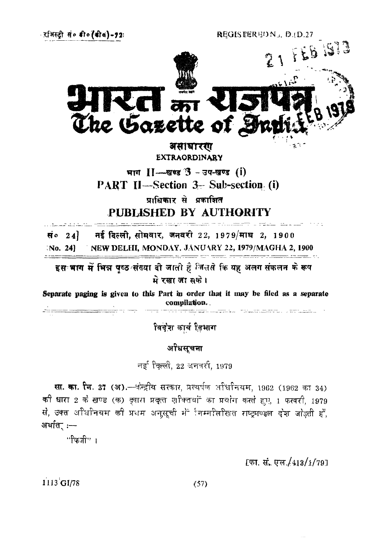REGISTERED No. D.(D.27



असाधारण **EXTRAORDINARY**

भाग II-खण्ड 3- उप-खण्ड (i) PART II—Section 3- Sub-section (i)

प्राधिकार से प्रकाशित

PUBLISHED BY AUTHORITY

नई दिल्ली, सोमवार, जनवरी 22, 1979/माघ 2, 1900 सं० $24$ No. 24) NEW DELHI, MONDAY. JANUARY *21,* 1979/MAGHA 2, 1900

इस भाग में भिन्न पुष्ठ संख्या दी जाती है जिससे कि यह अलग संकलन के रूप मे रखा जा सके।

Separate paging is given to this Part in order that it may he filed as a separate compilation..

.<br>Igiliya mahalalarinin shekarati

विदेश कार्य तिभाग

# अधिसूचना

नई दिल्ली, 22 जनवरी, 1979

सा. का. सि. 37 (अ).- इन्द्रीय सरकार, प्रत्यर्पण अधिनियम, 1962 (1962 का 34) की धारा 2 के खण्ड (क) दुवारा प्रदुत्त शनितवां का प्रयोग करते हुए, 1 फरवरी, 1979 से, उक्त अधिनियम की प्रधम अनुसूची में निम्नीलीखत राष्ट्रमण्डल देश जोड़ती हैं. अर्थात. :-

''फिजी" ।

[फा. सं. एल./413/1/79]

 $1113'GI/78$  (57)